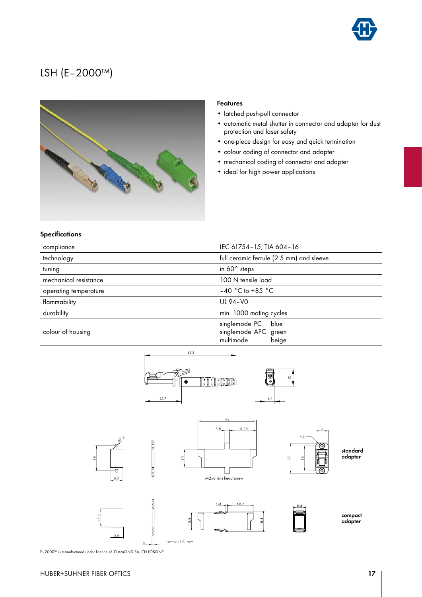

# LSH (E–2000™)



#### Features

- latched push-pull connector
- automatic metal shutter in connector and adapter for dust protection and laser safety
- one-piece design for easy and quick termination
- colour coding of connector and adapter
- mechanical coding of connector and adapter
- ideal for high power applications

### **Specifications**

| compliance            | IEC 61754 - 15, TIA 604 - 16                                        |  |
|-----------------------|---------------------------------------------------------------------|--|
| technology            | full ceramic ferrule (2.5 mm) and sleeve                            |  |
| tuning                | in 60° steps                                                        |  |
| mechanical resistance | 100 N tensile load                                                  |  |
| operating temperature | $-40$ °C to +85 °C                                                  |  |
| flammability          | UL 94-V0                                                            |  |
| durability            | min. 1000 mating cycles                                             |  |
| colour of housing     | singlemode PC<br>blue<br>singlemode APC green<br>multimode<br>beige |  |



E–2000™ is manufactured under licence of DIAMOND SA, CH LOSONE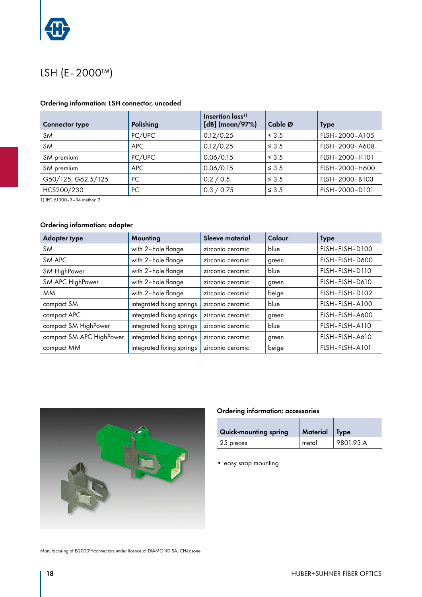

## LSH (E–2000™)

## Ordering information: LSH connector, uncoded

| <b>Connector type</b> | Polishing  | Insertion loss <sup>1)</sup><br>[dB] (mean/97%) | Cable Ø    | <b>Type</b>    |
|-----------------------|------------|-------------------------------------------------|------------|----------------|
| <b>SM</b>             | PC/UPC     | 0.12/0.25                                       | $\leq 3.5$ | FLSH-2000-A105 |
| <b>SM</b>             | APC.       | 0.12/0.25                                       | $\leq 3.5$ | FLSH-2000-A608 |
| SM premium            | PC/UPC     | 0.06/0.15                                       | $\leq 3.5$ | FLSH-2000-H101 |
| SM premium            | <b>APC</b> | 0.06/0.15                                       | $\leq 3.5$ | FLSH-2000-H600 |
| G50/125, G62.5/125    | PC.        | 0.2 / 0.5                                       | $\leq$ 3.5 | FLSH-2000-B103 |
| HCS200/230            | PC.        | 0.3 / 0.75                                      | $\leq$ 3.5 | FLSH-2000-D101 |

1) IEC 61300–3–34 method 2

## Ordering information: adapter

| <b>Adapter type</b>      | Mounting                  | Sleeve material  | Colour | <b>Type</b>    |
|--------------------------|---------------------------|------------------|--------|----------------|
| <b>SM</b>                | with 2-hole flange        | zirconia ceramic | blue   | FLSH-FLSH-D100 |
| SM APC                   | with 2-hole flange        | zirconia ceramic | green  | FLSH-FLSH-D600 |
| SM HighPower             | with 2-hole flange        | zirconia ceramic | blue   | FLSH-FLSH-D110 |
| SM APC HighPower         | with 2-hole flange        | zirconia ceramic | green  | FLSH-FLSH-D610 |
| <b>MM</b>                | with 2-hole flange        | zirconia ceramic | beige  | FLSH-FLSH-D102 |
| compact SM               | integrated fixing springs | zirconia ceramic | blue   | FLSH-FLSH-A100 |
| compact APC              | integrated fixing springs | zirconia ceramic | green  | FLSH-FLSH-A600 |
| compact SM HighPower     | integrated fixing springs | zirconia ceramic | blue   | FLSH-FLSH-A110 |
| compact SM APC HighPower | integrated fixing springs | zirconia ceramic | green  | FLSH-FLSH-A610 |
| compact MM               | integrated fixing springs | zirconia ceramic | beige  | FLSH-FLSH-A101 |



#### Manufacturing of E-2000™-connectors under licence of DIAMOND SA, CH-Losone

## Ordering information: accessories

| <b>Quick-mounting spring</b> | Material Type |           |
|------------------------------|---------------|-----------|
| 25 pieces                    | metal         | 9801.93.A |

• easy snap mounting